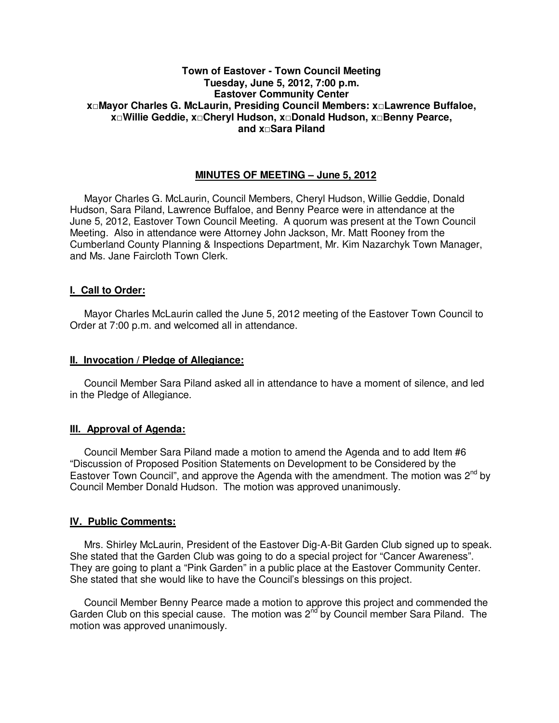# **Town of Eastover - Town Council Meeting Tuesday, June 5, 2012, 7:00 p.m. Eastover Community Center x□Mayor Charles G. McLaurin, Presiding Council Members: x□Lawrence Buffaloe, x□Willie Geddie, x□Cheryl Hudson, x□Donald Hudson, x□Benny Pearce, and x□Sara Piland**

# **MINUTES OF MEETING – June 5, 2012**

Mayor Charles G. McLaurin, Council Members, Cheryl Hudson, Willie Geddie, Donald Hudson, Sara Piland, Lawrence Buffaloe, and Benny Pearce were in attendance at the June 5, 2012, Eastover Town Council Meeting. A quorum was present at the Town Council Meeting. Also in attendance were Attorney John Jackson, Mr. Matt Rooney from the Cumberland County Planning & Inspections Department, Mr. Kim Nazarchyk Town Manager, and Ms. Jane Faircloth Town Clerk.

## **I. Call to Order:**

Mayor Charles McLaurin called the June 5, 2012 meeting of the Eastover Town Council to Order at 7:00 p.m. and welcomed all in attendance.

#### **II. Invocation / Pledge of Allegiance:**

 Council Member Sara Piland asked all in attendance to have a moment of silence, and led in the Pledge of Allegiance.

## **III. Approval of Agenda:**

 Council Member Sara Piland made a motion to amend the Agenda and to add Item #6 "Discussion of Proposed Position Statements on Development to be Considered by the Eastover Town Council", and approve the Agenda with the amendment. The motion was  $2^{nd}$  by Council Member Donald Hudson. The motion was approved unanimously.

#### **IV. Public Comments:**

 Mrs. Shirley McLaurin, President of the Eastover Dig-A-Bit Garden Club signed up to speak. She stated that the Garden Club was going to do a special project for "Cancer Awareness". They are going to plant a "Pink Garden" in a public place at the Eastover Community Center. She stated that she would like to have the Council's blessings on this project.

 Council Member Benny Pearce made a motion to approve this project and commended the Garden Club on this special cause. The motion was 2<sup>nd</sup> by Council member Sara Piland. The motion was approved unanimously.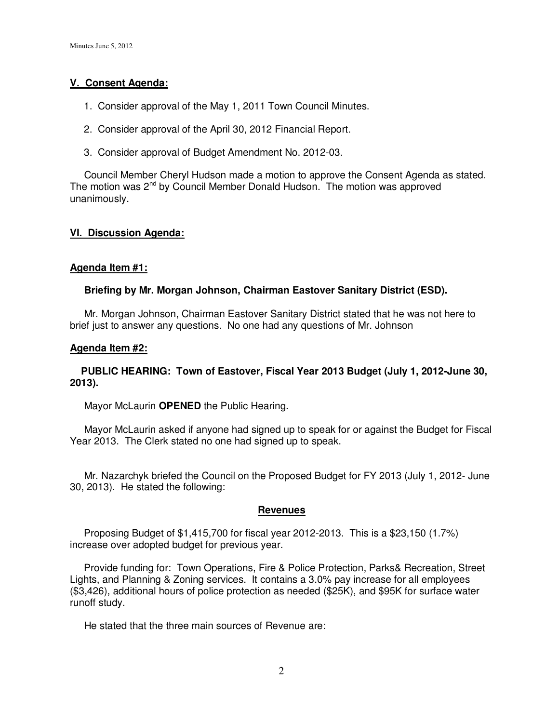# **V. Consent Agenda:**

- 1. Consider approval of the May 1, 2011 Town Council Minutes.
- 2. Consider approval of the April 30, 2012 Financial Report.
- 3. Consider approval of Budget Amendment No. 2012-03.

Council Member Cheryl Hudson made a motion to approve the Consent Agenda as stated. The motion was 2<sup>nd</sup> by Council Member Donald Hudson. The motion was approved unanimously.

# **VI. Discussion Agenda:**

# **Agenda Item #1:**

# **Briefing by Mr. Morgan Johnson, Chairman Eastover Sanitary District (ESD).**

Mr. Morgan Johnson, Chairman Eastover Sanitary District stated that he was not here to brief just to answer any questions. No one had any questions of Mr. Johnson

## **Agenda Item #2:**

## **PUBLIC HEARING: Town of Eastover, Fiscal Year 2013 Budget (July 1, 2012-June 30, 2013).**

Mayor McLaurin **OPENED** the Public Hearing.

 Mayor McLaurin asked if anyone had signed up to speak for or against the Budget for Fiscal Year 2013. The Clerk stated no one had signed up to speak.

 Mr. Nazarchyk briefed the Council on the Proposed Budget for FY 2013 (July 1, 2012- June 30, 2013). He stated the following:

## **Revenues**

 Proposing Budget of \$1,415,700 for fiscal year 2012-2013. This is a \$23,150 (1.7%) increase over adopted budget for previous year.

 Provide funding for: Town Operations, Fire & Police Protection, Parks& Recreation, Street Lights, and Planning & Zoning services. It contains a 3.0% pay increase for all employees (\$3,426), additional hours of police protection as needed (\$25K), and \$95K for surface water runoff study.

He stated that the three main sources of Revenue are: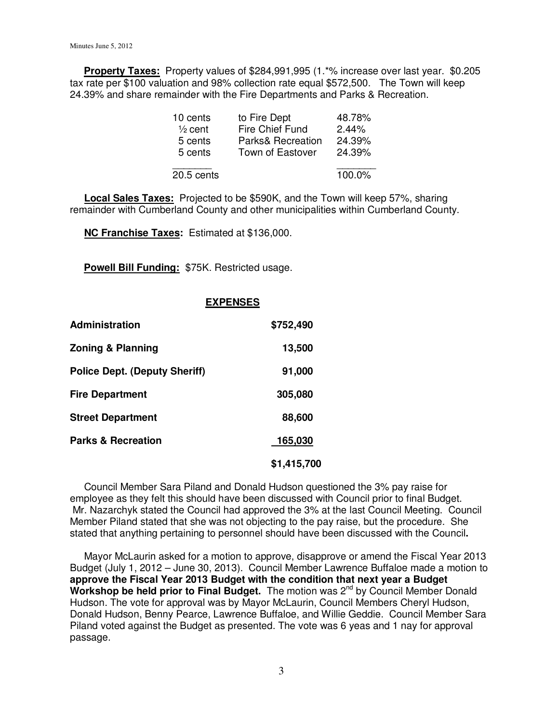**Property Taxes:** Property values of \$284,991,995 (1.\*% increase over last year. \$0.205 tax rate per \$100 valuation and 98% collection rate equal \$572,500. The Town will keep 24.39% and share remainder with the Fire Departments and Parks & Recreation.

| 10 cents           | to Fire Dept            | 48.78%   |
|--------------------|-------------------------|----------|
| $\frac{1}{2}$ cent | Fire Chief Fund         | $2.44\%$ |
| 5 cents            | Parks& Recreation       | 24.39%   |
| 5 cents            | <b>Town of Eastover</b> | 24.39%   |
| 20.5 cents         |                         |          |

 **Local Sales Taxes:** Projected to be \$590K, and the Town will keep 57%, sharing remainder with Cumberland County and other municipalities within Cumberland County.

**NC Franchise Taxes:** Estimated at \$136,000.

**Powell Bill Funding:** \$75K. Restricted usage.

## **EXPENSES**

| <b>Administration</b>                | \$752,490   |
|--------------------------------------|-------------|
| <b>Zoning &amp; Planning</b>         | 13,500      |
| <b>Police Dept. (Deputy Sheriff)</b> | 91,000      |
| <b>Fire Department</b>               | 305,080     |
| <b>Street Department</b>             | 88,600      |
| <b>Parks &amp; Recreation</b>        | 165,030     |
|                                      | \$1,415,700 |

Council Member Sara Piland and Donald Hudson questioned the 3% pay raise for employee as they felt this should have been discussed with Council prior to final Budget. Mr. Nazarchyk stated the Council had approved the 3% at the last Council Meeting. Council Member Piland stated that she was not objecting to the pay raise, but the procedure. She stated that anything pertaining to personnel should have been discussed with the Council**.** 

 Mayor McLaurin asked for a motion to approve, disapprove or amend the Fiscal Year 2013 Budget (July 1, 2012 – June 30, 2013). Council Member Lawrence Buffaloe made a motion to **approve the Fiscal Year 2013 Budget with the condition that next year a Budget**  Workshop be held prior to Final Budget. The motion was 2<sup>nd</sup> by Council Member Donald Hudson. The vote for approval was by Mayor McLaurin, Council Members Cheryl Hudson, Donald Hudson, Benny Pearce, Lawrence Buffaloe, and Willie Geddie. Council Member Sara Piland voted against the Budget as presented. The vote was 6 yeas and 1 nay for approval passage.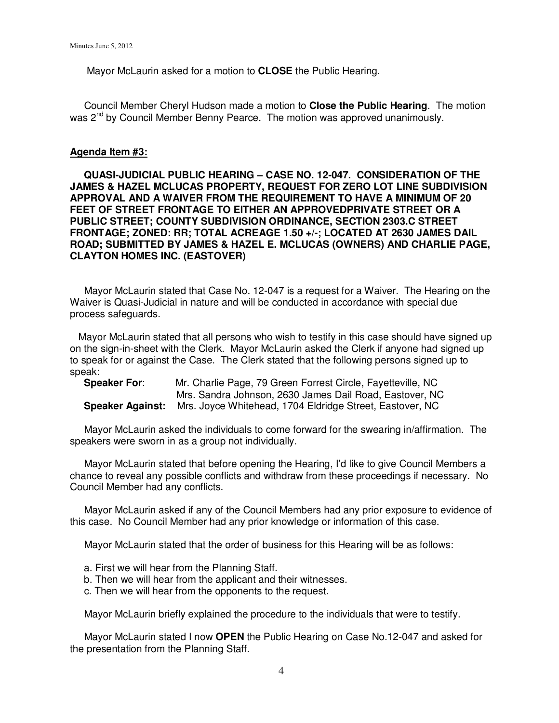Mayor McLaurin asked for a motion to **CLOSE** the Public Hearing.

 Council Member Cheryl Hudson made a motion to **Close the Public Hearing**. The motion was 2<sup>nd</sup> by Council Member Benny Pearce. The motion was approved unanimously.

#### **Agenda Item #3:**

 **QUASI-JUDICIAL PUBLIC HEARING – CASE NO. 12-047. CONSIDERATION OF THE JAMES & HAZEL MCLUCAS PROPERTY, REQUEST FOR ZERO LOT LINE SUBDIVISION APPROVAL AND A WAIVER FROM THE REQUIREMENT TO HAVE A MINIMUM OF 20 FEET OF STREET FRONTAGE TO EITHER AN APPROVEDPRIVATE STREET OR A PUBLIC STREET; COUNTY SUBDIVISION ORDINANCE, SECTION 2303.C STREET FRONTAGE; ZONED: RR; TOTAL ACREAGE 1.50 +/-; LOCATED AT 2630 JAMES DAIL ROAD; SUBMITTED BY JAMES & HAZEL E. MCLUCAS (OWNERS) AND CHARLIE PAGE, CLAYTON HOMES INC. (EASTOVER)** 

 Mayor McLaurin stated that Case No. 12-047 is a request for a Waiver. The Hearing on the Waiver is Quasi-Judicial in nature and will be conducted in accordance with special due process safeguards.

Mayor McLaurin stated that all persons who wish to testify in this case should have signed up on the sign-in-sheet with the Clerk. Mayor McLaurin asked the Clerk if anyone had signed up to speak for or against the Case. The Clerk stated that the following persons signed up to speak:

| <b>Speaker For:</b>     | Mr. Charlie Page, 79 Green Forrest Circle, Fayetteville, NC |
|-------------------------|-------------------------------------------------------------|
|                         | Mrs. Sandra Johnson, 2630 James Dail Road, Eastover, NC     |
| <b>Speaker Against:</b> | Mrs. Joyce Whitehead, 1704 Eldridge Street, Eastover, NC    |

 Mayor McLaurin asked the individuals to come forward for the swearing in/affirmation. The speakers were sworn in as a group not individually.

 Mayor McLaurin stated that before opening the Hearing, I'd like to give Council Members a chance to reveal any possible conflicts and withdraw from these proceedings if necessary. No Council Member had any conflicts.

 Mayor McLaurin asked if any of the Council Members had any prior exposure to evidence of this case. No Council Member had any prior knowledge or information of this case.

Mayor McLaurin stated that the order of business for this Hearing will be as follows:

- a. First we will hear from the Planning Staff.
- b. Then we will hear from the applicant and their witnesses.
- c. Then we will hear from the opponents to the request.

Mayor McLaurin briefly explained the procedure to the individuals that were to testify.

 Mayor McLaurin stated I now **OPEN** the Public Hearing on Case No.12-047 and asked for the presentation from the Planning Staff.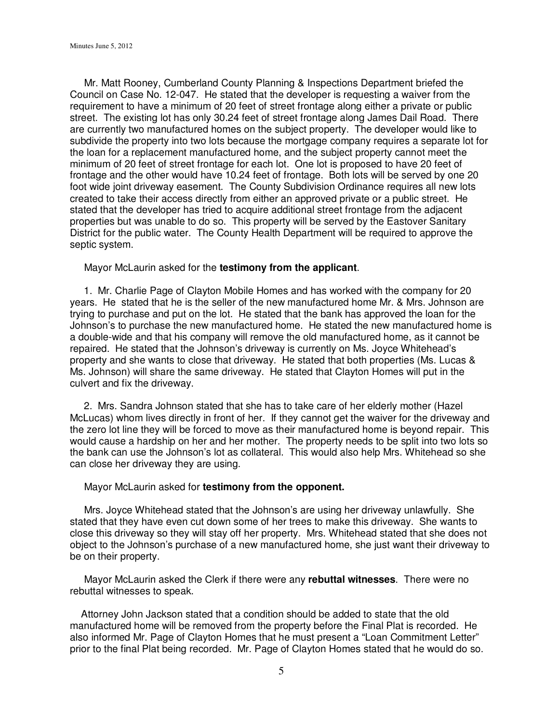Mr. Matt Rooney, Cumberland County Planning & Inspections Department briefed the Council on Case No. 12-047. He stated that the developer is requesting a waiver from the requirement to have a minimum of 20 feet of street frontage along either a private or public street. The existing lot has only 30.24 feet of street frontage along James Dail Road. There are currently two manufactured homes on the subject property. The developer would like to subdivide the property into two lots because the mortgage company requires a separate lot for the loan for a replacement manufactured home, and the subject property cannot meet the minimum of 20 feet of street frontage for each lot. One lot is proposed to have 20 feet of frontage and the other would have 10.24 feet of frontage. Both lots will be served by one 20 foot wide joint driveway easement. The County Subdivision Ordinance requires all new lots created to take their access directly from either an approved private or a public street. He stated that the developer has tried to acquire additional street frontage from the adjacent properties but was unable to do so. This property will be served by the Eastover Sanitary District for the public water. The County Health Department will be required to approve the septic system.

Mayor McLaurin asked for the **testimony from the applicant**.

 1. Mr. Charlie Page of Clayton Mobile Homes and has worked with the company for 20 years. He stated that he is the seller of the new manufactured home Mr. & Mrs. Johnson are trying to purchase and put on the lot. He stated that the bank has approved the loan for the Johnson's to purchase the new manufactured home. He stated the new manufactured home is a double-wide and that his company will remove the old manufactured home, as it cannot be repaired. He stated that the Johnson's driveway is currently on Ms. Joyce Whitehead's property and she wants to close that driveway. He stated that both properties (Ms. Lucas & Ms. Johnson) will share the same driveway. He stated that Clayton Homes will put in the culvert and fix the driveway.

 2. Mrs. Sandra Johnson stated that she has to take care of her elderly mother (Hazel McLucas) whom lives directly in front of her. If they cannot get the waiver for the driveway and the zero lot line they will be forced to move as their manufactured home is beyond repair. This would cause a hardship on her and her mother. The property needs to be split into two lots so the bank can use the Johnson's lot as collateral. This would also help Mrs. Whitehead so she can close her driveway they are using.

Mayor McLaurin asked for **testimony from the opponent.** 

 Mrs. Joyce Whitehead stated that the Johnson's are using her driveway unlawfully. She stated that they have even cut down some of her trees to make this driveway. She wants to close this driveway so they will stay off her property. Mrs. Whitehead stated that she does not object to the Johnson's purchase of a new manufactured home, she just want their driveway to be on their property.

 Mayor McLaurin asked the Clerk if there were any **rebuttal witnesses**. There were no rebuttal witnesses to speak.

 Attorney John Jackson stated that a condition should be added to state that the old manufactured home will be removed from the property before the Final Plat is recorded. He also informed Mr. Page of Clayton Homes that he must present a "Loan Commitment Letter" prior to the final Plat being recorded. Mr. Page of Clayton Homes stated that he would do so.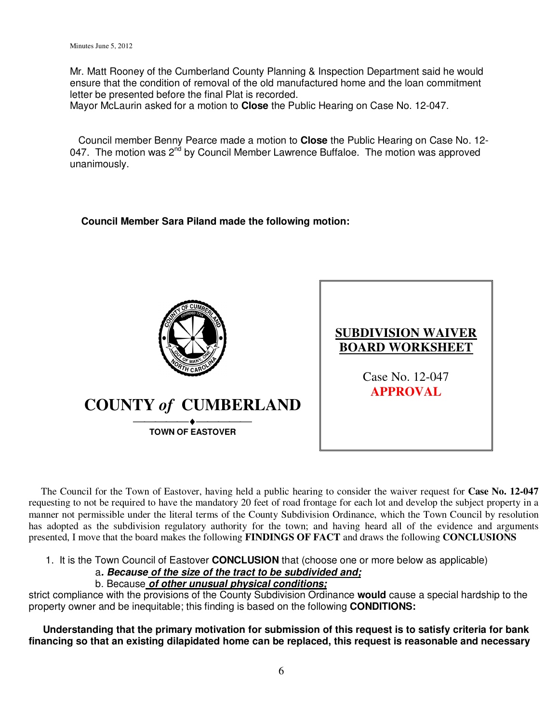Mr. Matt Rooney of the Cumberland County Planning & Inspection Department said he would ensure that the condition of removal of the old manufactured home and the loan commitment letter be presented before the final Plat is recorded.

Mayor McLaurin asked for a motion to **Close** the Public Hearing on Case No. 12-047.

 Council member Benny Pearce made a motion to **Close** the Public Hearing on Case No. 12- 047. The motion was  $2^{n\bar{d}}$  by Council Member Lawrence Buffaloe. The motion was approved unanimously.

# **Council Member Sara Piland made the following motion:**





 The Council for the Town of Eastover, having held a public hearing to consider the waiver request for **Case No. 12-047** requesting to not be required to have the mandatory 20 feet of road frontage for each lot and develop the subject property in a manner not permissible under the literal terms of the County Subdivision Ordinance, which the Town Council by resolution has adopted as the subdivision regulatory authority for the town; and having heard all of the evidence and arguments presented, I move that the board makes the following **FINDINGS OF FACT** and draws the following **CONCLUSIONS** 

1. It is the Town Council of Eastover **CONCLUSION** that (choose one or more below as applicable)

a**. Because of the size of the tract to be subdivided and;**

## b. Because **of other unusual physical conditions;**

strict compliance with the provisions of the County Subdivision Ordinance **would** cause a special hardship to the property owner and be inequitable; this finding is based on the following **CONDITIONS:** 

 **Understanding that the primary motivation for submission of this request is to satisfy criteria for bank financing so that an existing dilapidated home can be replaced, this request is reasonable and necessary**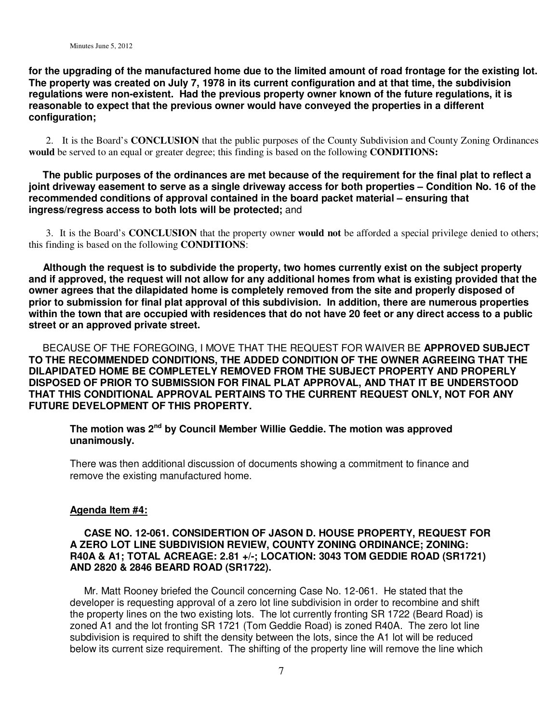**for the upgrading of the manufactured home due to the limited amount of road frontage for the existing lot. The property was created on July 7, 1978 in its current configuration and at that time, the subdivision regulations were non-existent. Had the previous property owner known of the future regulations, it is reasonable to expect that the previous owner would have conveyed the properties in a different configuration;** 

 2. It is the Board's **CONCLUSION** that the public purposes of the County Subdivision and County Zoning Ordinances **would** be served to an equal or greater degree; this finding is based on the following **CONDITIONS:** 

 **The public purposes of the ordinances are met because of the requirement for the final plat to reflect a joint driveway easement to serve as a single driveway access for both properties – Condition No. 16 of the recommended conditions of approval contained in the board packet material – ensuring that ingress/regress access to both lots will be protected;** and

 3. It is the Board's **CONCLUSION** that the property owner **would not** be afforded a special privilege denied to others; this finding is based on the following **CONDITIONS**:

 **Although the request is to subdivide the property, two homes currently exist on the subject property and if approved, the request will not allow for any additional homes from what is existing provided that the owner agrees that the dilapidated home is completely removed from the site and properly disposed of prior to submission for final plat approval of this subdivision. In addition, there are numerous properties within the town that are occupied with residences that do not have 20 feet or any direct access to a public street or an approved private street.** 

 BECAUSE OF THE FOREGOING, I MOVE THAT THE REQUEST FOR WAIVER BE **APPROVED SUBJECT TO THE RECOMMENDED CONDITIONS, THE ADDED CONDITION OF THE OWNER AGREEING THAT THE DILAPIDATED HOME BE COMPLETELY REMOVED FROM THE SUBJECT PROPERTY AND PROPERLY DISPOSED OF PRIOR TO SUBMISSION FOR FINAL PLAT APPROVAL, AND THAT IT BE UNDERSTOOD THAT THIS CONDITIONAL APPROVAL PERTAINS TO THE CURRENT REQUEST ONLY, NOT FOR ANY FUTURE DEVELOPMENT OF THIS PROPERTY.**

**The motion was 2nd by Council Member Willie Geddie. The motion was approved unanimously.** 

There was then additional discussion of documents showing a commitment to finance and remove the existing manufactured home.

## **Agenda Item #4:**

# **CASE NO. 12-061. CONSIDERTION OF JASON D. HOUSE PROPERTY, REQUEST FOR A ZERO LOT LINE SUBDIVISION REVIEW, COUNTY ZONING ORDINANCE; ZONING: R40A & A1; TOTAL ACREAGE: 2.81 +/-; LOCATION: 3043 TOM GEDDIE ROAD (SR1721) AND 2820 & 2846 BEARD ROAD (SR1722).**

 Mr. Matt Rooney briefed the Council concerning Case No. 12-061. He stated that the developer is requesting approval of a zero lot line subdivision in order to recombine and shift the property lines on the two existing lots. The lot currently fronting SR 1722 (Beard Road) is zoned A1 and the lot fronting SR 1721 (Tom Geddie Road) is zoned R40A. The zero lot line subdivision is required to shift the density between the lots, since the A1 lot will be reduced below its current size requirement. The shifting of the property line will remove the line which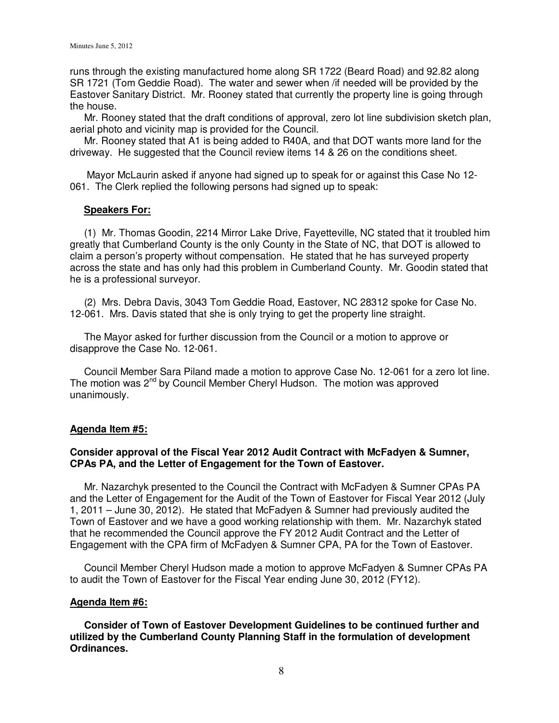runs through the existing manufactured home along SR 1722 (Beard Road) and 92.82 along SR 1721 (Tom Geddie Road). The water and sewer when /if needed will be provided by the Eastover Sanitary District. Mr. Rooney stated that currently the property line is going through the house.

 Mr. Rooney stated that the draft conditions of approval, zero lot line subdivision sketch plan, aerial photo and vicinity map is provided for the Council.

 Mr. Rooney stated that A1 is being added to R40A, and that DOT wants more land for the driveway. He suggested that the Council review items 14 & 26 on the conditions sheet.

 Mayor McLaurin asked if anyone had signed up to speak for or against this Case No 12- 061. The Clerk replied the following persons had signed up to speak:

## **Speakers For:**

 (1) Mr. Thomas Goodin, 2214 Mirror Lake Drive, Fayetteville, NC stated that it troubled him greatly that Cumberland County is the only County in the State of NC, that DOT is allowed to claim a person's property without compensation. He stated that he has surveyed property across the state and has only had this problem in Cumberland County. Mr. Goodin stated that he is a professional surveyor.

 (2) Mrs. Debra Davis, 3043 Tom Geddie Road, Eastover, NC 28312 spoke for Case No. 12-061. Mrs. Davis stated that she is only trying to get the property line straight.

 The Mayor asked for further discussion from the Council or a motion to approve or disapprove the Case No. 12-061.

 Council Member Sara Piland made a motion to approve Case No. 12-061 for a zero lot line. The motion was 2<sup>nd</sup> by Council Member Cheryl Hudson. The motion was approved unanimously.

## **Agenda Item #5:**

# **Consider approval of the Fiscal Year 2012 Audit Contract with McFadyen & Sumner, CPAs PA, and the Letter of Engagement for the Town of Eastover.**

 Mr. Nazarchyk presented to the Council the Contract with McFadyen & Sumner CPAs PA and the Letter of Engagement for the Audit of the Town of Eastover for Fiscal Year 2012 (July 1, 2011 – June 30, 2012). He stated that McFadyen & Sumner had previously audited the Town of Eastover and we have a good working relationship with them. Mr. Nazarchyk stated that he recommended the Council approve the FY 2012 Audit Contract and the Letter of Engagement with the CPA firm of McFadyen & Sumner CPA, PA for the Town of Eastover.

 Council Member Cheryl Hudson made a motion to approve McFadyen & Sumner CPAs PA to audit the Town of Eastover for the Fiscal Year ending June 30, 2012 (FY12).

## **Agenda Item #6:**

 **Consider of Town of Eastover Development Guidelines to be continued further and utilized by the Cumberland County Planning Staff in the formulation of development Ordinances.**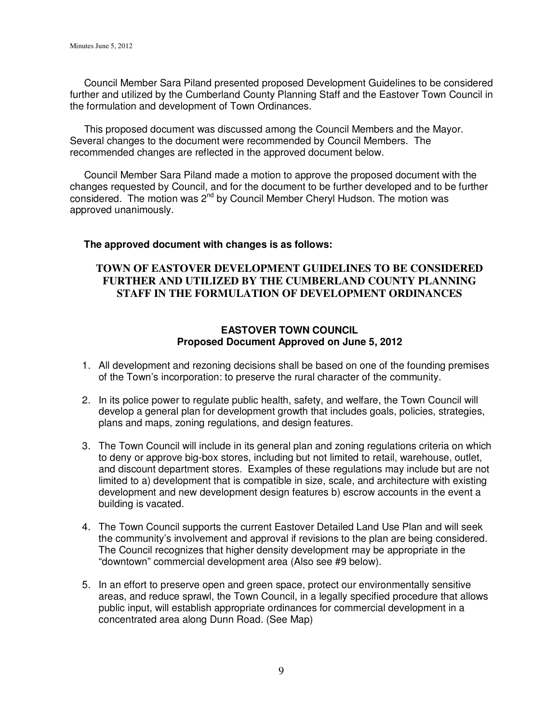Council Member Sara Piland presented proposed Development Guidelines to be considered further and utilized by the Cumberland County Planning Staff and the Eastover Town Council in the formulation and development of Town Ordinances.

 This proposed document was discussed among the Council Members and the Mayor. Several changes to the document were recommended by Council Members. The recommended changes are reflected in the approved document below.

 Council Member Sara Piland made a motion to approve the proposed document with the changes requested by Council, and for the document to be further developed and to be further considered. The motion was 2nd by Council Member Cheryl Hudson. The motion was approved unanimously.

## **The approved document with changes is as follows:**

# **TOWN OF EASTOVER DEVELOPMENT GUIDELINES TO BE CONSIDERED FURTHER AND UTILIZED BY THE CUMBERLAND COUNTY PLANNING STAFF IN THE FORMULATION OF DEVELOPMENT ORDINANCES**

# **EASTOVER TOWN COUNCIL Proposed Document Approved on June 5, 2012**

- 1. All development and rezoning decisions shall be based on one of the founding premises of the Town's incorporation: to preserve the rural character of the community.
- 2. In its police power to regulate public health, safety, and welfare, the Town Council will develop a general plan for development growth that includes goals, policies, strategies, plans and maps, zoning regulations, and design features.
- 3. The Town Council will include in its general plan and zoning regulations criteria on which to deny or approve big-box stores, including but not limited to retail, warehouse, outlet, and discount department stores. Examples of these regulations may include but are not limited to a) development that is compatible in size, scale, and architecture with existing development and new development design features b) escrow accounts in the event a building is vacated.
- 4. The Town Council supports the current Eastover Detailed Land Use Plan and will seek the community's involvement and approval if revisions to the plan are being considered. The Council recognizes that higher density development may be appropriate in the "downtown" commercial development area (Also see #9 below).
- 5. In an effort to preserve open and green space, protect our environmentally sensitive areas, and reduce sprawl, the Town Council, in a legally specified procedure that allows public input, will establish appropriate ordinances for commercial development in a concentrated area along Dunn Road. (See Map)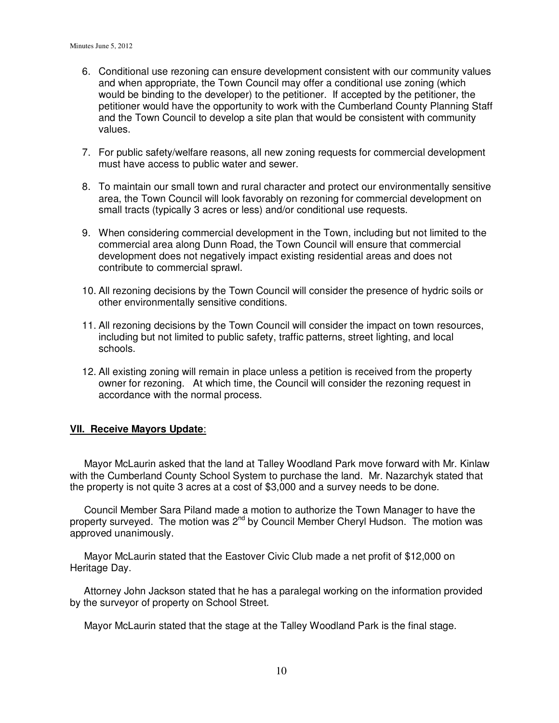- 6. Conditional use rezoning can ensure development consistent with our community values and when appropriate, the Town Council may offer a conditional use zoning (which would be binding to the developer) to the petitioner. If accepted by the petitioner, the petitioner would have the opportunity to work with the Cumberland County Planning Staff and the Town Council to develop a site plan that would be consistent with community values.
- 7. For public safety/welfare reasons, all new zoning requests for commercial development must have access to public water and sewer.
- 8. To maintain our small town and rural character and protect our environmentally sensitive area, the Town Council will look favorably on rezoning for commercial development on small tracts (typically 3 acres or less) and/or conditional use requests.
- 9. When considering commercial development in the Town, including but not limited to the commercial area along Dunn Road, the Town Council will ensure that commercial development does not negatively impact existing residential areas and does not contribute to commercial sprawl.
- 10. All rezoning decisions by the Town Council will consider the presence of hydric soils or other environmentally sensitive conditions.
- 11. All rezoning decisions by the Town Council will consider the impact on town resources, including but not limited to public safety, traffic patterns, street lighting, and local schools.
- 12. All existing zoning will remain in place unless a petition is received from the property owner for rezoning. At which time, the Council will consider the rezoning request in accordance with the normal process.

## **VII. Receive Mayors Update**:

 Mayor McLaurin asked that the land at Talley Woodland Park move forward with Mr. Kinlaw with the Cumberland County School System to purchase the land. Mr. Nazarchyk stated that the property is not quite 3 acres at a cost of \$3,000 and a survey needs to be done.

 Council Member Sara Piland made a motion to authorize the Town Manager to have the property surveyed. The motion was 2<sup>nd</sup> by Council Member Cheryl Hudson. The motion was approved unanimously.

 Mayor McLaurin stated that the Eastover Civic Club made a net profit of \$12,000 on Heritage Day.

 Attorney John Jackson stated that he has a paralegal working on the information provided by the surveyor of property on School Street.

Mayor McLaurin stated that the stage at the Talley Woodland Park is the final stage.